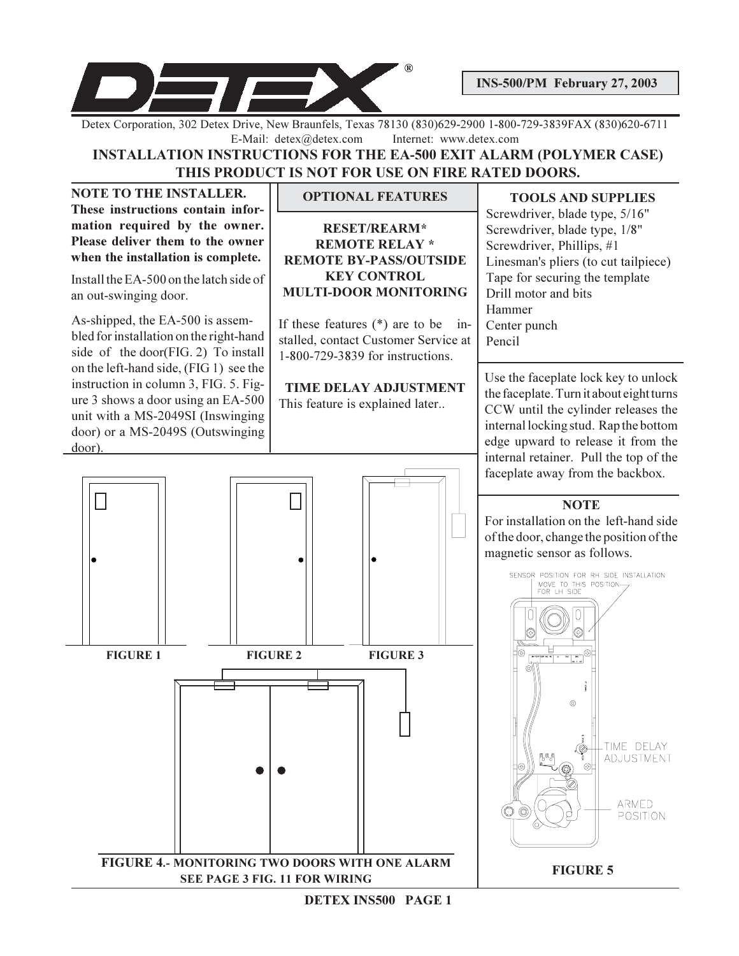

**INS-500/PM February 27, 2003** 

Detex Corporation, 302 Detex Drive, New Braunfels, Texas 78130 (830)629-2900 1-800-729-3839FAX (830)620-6711 E-Mail: detex@detex.com Internet: www.detex.com

# **INSTALLATION INSTRUCTIONS FOR THE EA-500 EXIT ALARM (POLYMER CASE)** THIS PRODUCT IS NOT FOR USE ON FIRE RATED DOORS.

**NOTE TO THE INSTALLER.** These instructions contain information required by the owner. Please deliver them to the owner when the installation is complete.

Install the EA-500 on the latch side of an out-swinging door.

As-shipped, the EA-500 is assembled for installation on the right-hand side of the door(FIG. 2) To install on the left-hand side, (FIG 1) see the instruction in column 3, FIG. 5. Figure 3 shows a door using an EA-500 unit with a MS-2049SI (Inswinging door) or a MS-2049S (Outswinging door).

## **OPTIONAL FEATURES**

**RESET/REARM\* REMOTE RELAY \* REMOTE BY-PASS/OUTSIDE KEY CONTROL MULTI-DOOR MONITORING** 

If these features  $(*)$  are to be installed, contact Customer Service at 1-800-729-3839 for instructions.

TIME DELAY ADJUSTMENT This feature is explained later...

#### **TOOLS AND SUPPLIES**

Screwdriver, blade type, 5/16" Screwdriver, blade type, 1/8" Screwdriver, Phillips, #1 Linesman's pliers (to cut tailpiece) Tape for securing the template Drill motor and bits Hammer Center punch Pencil

Use the faceplate lock key to unlock the faceplate. Turn it about eight turns CCW until the cylinder releases the internal locking stud. Rap the bottom edge upward to release it from the internal retainer. Pull the top of the faceplate away from the backbox.

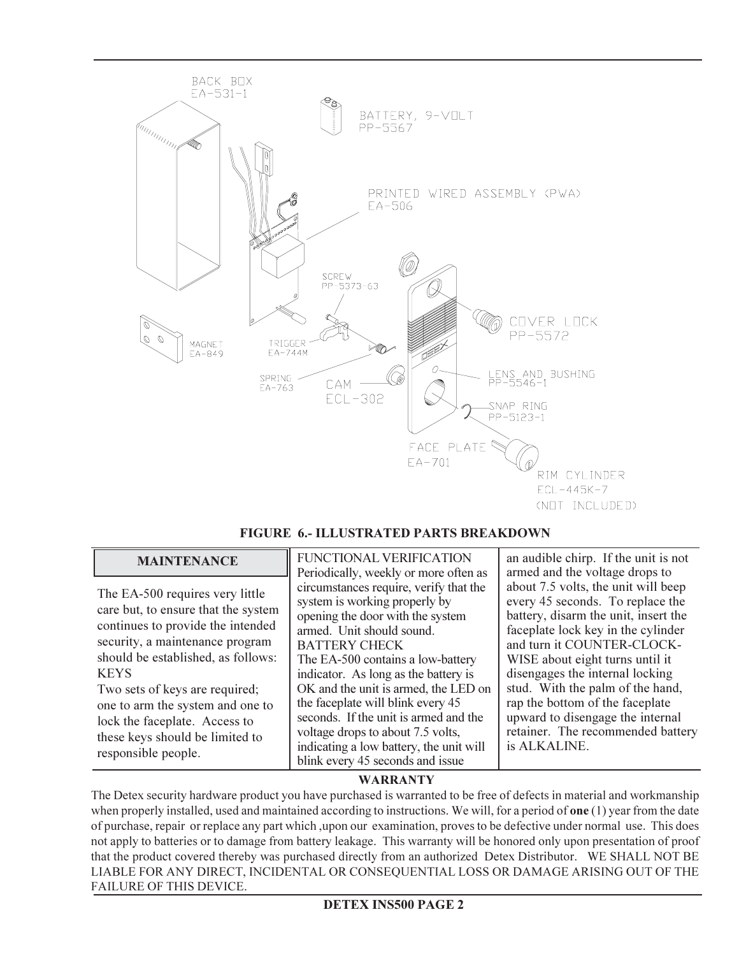

## FIGURE 6.- ILLUSTRATED PARTS BREAKDOWN

| <b>MAINTENANCE</b>                                                                                                                                                                                                                                                                                                                                                   | <b>FUNCTIONAL VERIFICATION</b><br>Periodically, weekly or more often as                                                                                                                                                                                                                                                                                                                                                                                                                 | an audible chirp. If the unit is not<br>armed and the voltage drops to                                                                                                                                                                                                                                                                                                                                                    |  |  |  |  |  |
|----------------------------------------------------------------------------------------------------------------------------------------------------------------------------------------------------------------------------------------------------------------------------------------------------------------------------------------------------------------------|-----------------------------------------------------------------------------------------------------------------------------------------------------------------------------------------------------------------------------------------------------------------------------------------------------------------------------------------------------------------------------------------------------------------------------------------------------------------------------------------|---------------------------------------------------------------------------------------------------------------------------------------------------------------------------------------------------------------------------------------------------------------------------------------------------------------------------------------------------------------------------------------------------------------------------|--|--|--|--|--|
| The EA-500 requires very little<br>care but, to ensure that the system<br>continues to provide the intended<br>security, a maintenance program<br>should be established, as follows:<br><b>KEYS</b><br>Two sets of keys are required;<br>one to arm the system and one to<br>lock the faceplate. Access to<br>these keys should be limited to<br>responsible people. | circumstances require, verify that the<br>system is working properly by<br>opening the door with the system<br>armed. Unit should sound.<br><b>BATTERY CHECK</b><br>The EA-500 contains a low-battery<br>indicator. As long as the battery is<br>OK and the unit is armed, the LED on<br>the faceplate will blink every 45<br>seconds. If the unit is armed and the<br>voltage drops to about 7.5 volts,<br>indicating a low battery, the unit will<br>blink every 45 seconds and issue | about 7.5 volts, the unit will beep<br>every 45 seconds. To replace the<br>battery, disarm the unit, insert the<br>faceplate lock key in the cylinder<br>and turn it COUNTER-CLOCK-<br>WISE about eight turns until it<br>disengages the internal locking<br>stud. With the palm of the hand,<br>rap the bottom of the faceplate<br>upward to disengage the internal<br>retainer. The recommended battery<br>is ALKALINE. |  |  |  |  |  |

## **WARRANTY**

The Detex security hardware product you have purchased is warranted to be free of defects in material and workmanship when properly installed, used and maintained according to instructions. We will, for a period of one  $(1)$  year from the date of purchase, repair or replace any part which, upon our examination, proves to be defective under normal use. This does not apply to batteries or to damage from battery leakage. This warranty will be honored only upon presentation of proof that the product covered thereby was purchased directly from an authorized Detex Distributor. WE SHALL NOT BE LIABLE FOR ANY DIRECT, INCIDENTAL OR CONSEQUENTIAL LOSS OR DAMAGE ARISING OUT OF THE FAILURE OF THIS DEVICE.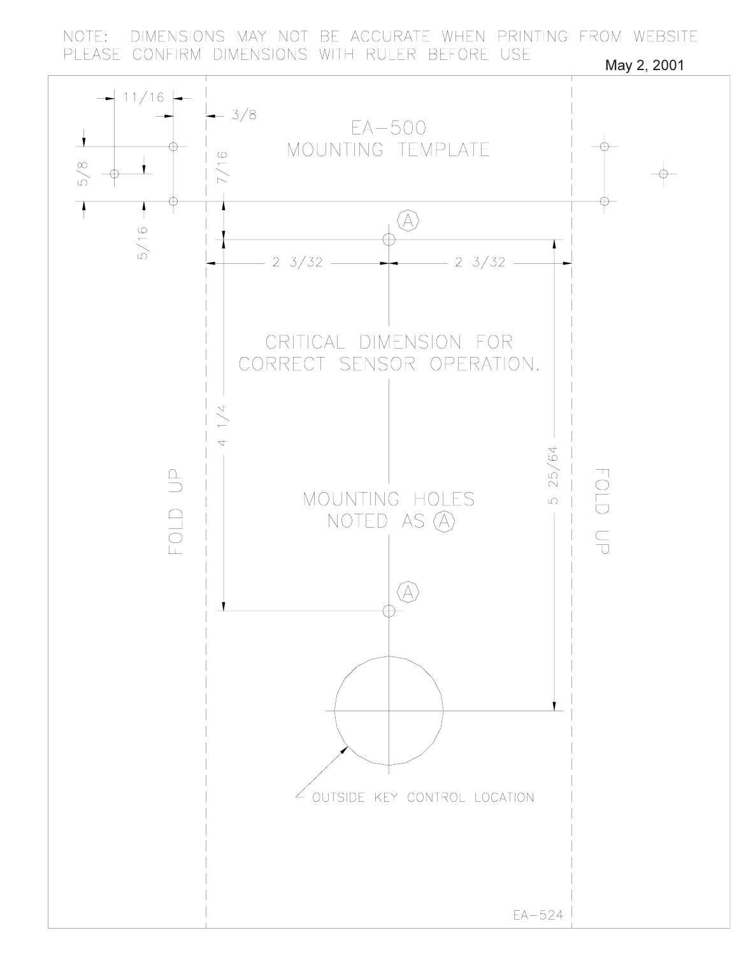DIMENSIONS MAY NOT BE ACCURATE WHEN PRINTING FROM WEBSITE NOTE: PLEASE CONFIRM DIMENSIONS WITH RULER BEFORE USE